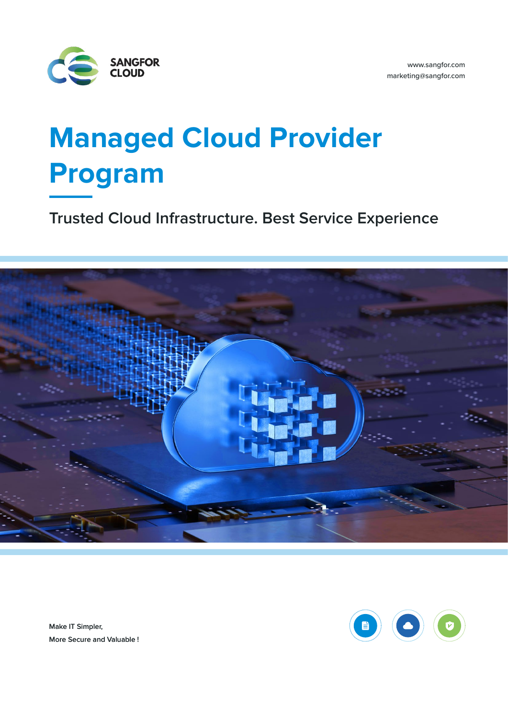

# **Managed Cloud Provider Program**

**Trusted Cloud Infrastructure. Best Service Experience**





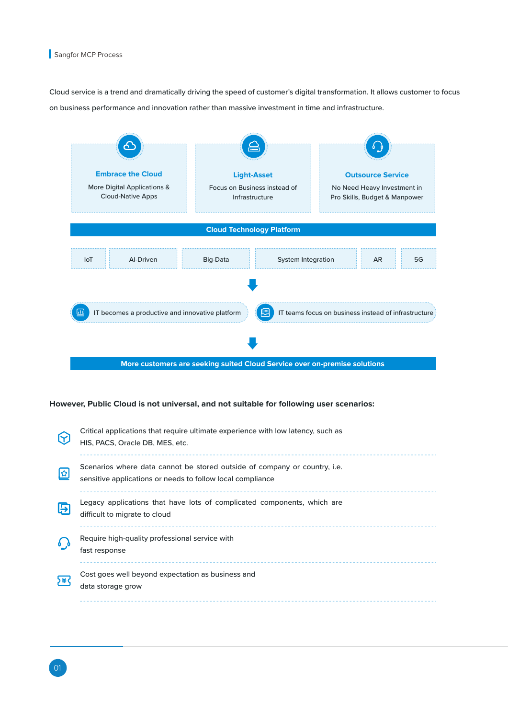Cloud service is a trend and dramatically driving the speed of customer's digital transformation. It allows customer to focus on business performance and innovation rather than massive investment in time and infrastructure.



**However, Public Cloud is not universal, and not suitable for following user scenarios:**

| 8    | Critical applications that require ultimate experience with low latency, such as<br>HIS, PACS, Oracle DB, MES, etc.                     |
|------|-----------------------------------------------------------------------------------------------------------------------------------------|
| 図    | Scenarios where data cannot be stored outside of company or country, i.e.<br>sensitive applications or needs to follow local compliance |
| 臣    | Legacy applications that have lots of complicated components, which are<br>difficult to migrate to cloud                                |
|      | Require high-quality professional service with<br>fast response                                                                         |
| ነ≇ ( | Cost goes well beyond expectation as business and<br>data storage grow                                                                  |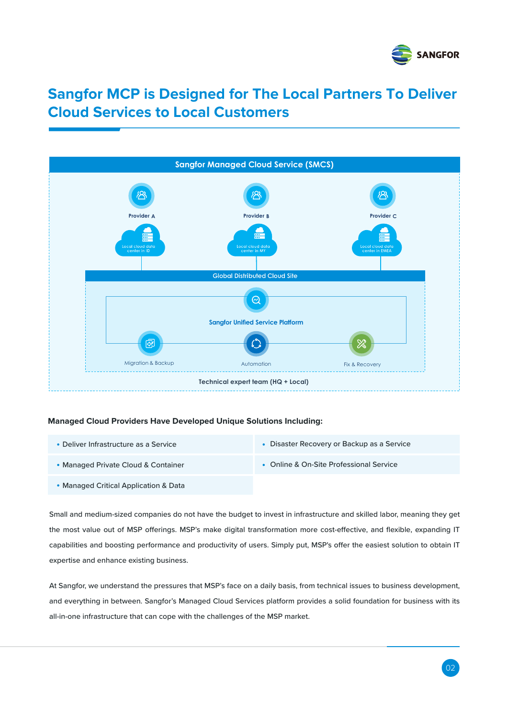

# **Sangfor MCP is Designed for The Local Partners To Deliver Cloud Services to Local Customers**



### **Managed Cloud Providers Have Developed Unique Solutions Including:**

Deliver Infrastructure as a Service

Disaster Recovery or Backup as a Service

Online & On-Site Professional Service

- Managed Private Cloud & Container
- 
- Managed Critical Application & Data
	-

Small and medium-sized companies do not have the budget to invest in infrastructure and skilled labor, meaning they get the most value out of MSP offerings. MSP's make digital transformation more cost-effective, and flexible, expanding IT capabilities and boosting performance and productivity of users. Simply put, MSP's offer the easiest solution to obtain IT expertise and enhance existing business.

At Sangfor, we understand the pressures that MSP's face on a daily basis, from technical issues to business development, and everything in between. Sangfor's Managed Cloud Services platform provides a solid foundation for business with its all-in-one infrastructure that can cope with the challenges of the MSP market.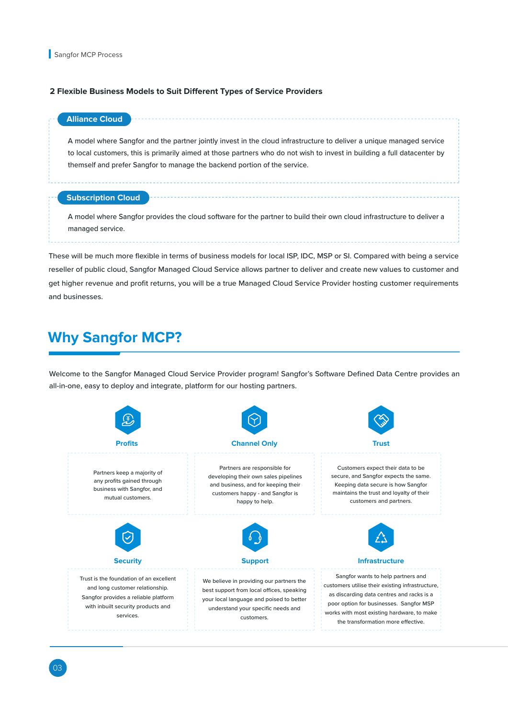### **2 Flexible Business Models to Suit Different Types of Service Providers**

## **Alliance Cloud**

A model where Sangfor and the partner jointly invest in the cloud infrastructure to deliver a unique managed service to local customers, this is primarily aimed at those partners who do not wish to invest in building a full datacenter by themself and prefer Sangfor to manage the backend portion of the service.

## **Subscription Cloud**

A model where Sangfor provides the cloud software for the partner to build their own cloud infrastructure to deliver a managed service.

These will be much more flexible in terms of business models for local ISP, IDC, MSP or SI. Compared with being a service reseller of public cloud, Sangfor Managed Cloud Service allows partner to deliver and create new values to customer and get higher revenue and profit returns, you will be a true Managed Cloud Service Provider hosting customer requirements and businesses.

# **Why Sangfor MCP?**

Welcome to the Sangfor Managed Cloud Service Provider program! Sangfor's Software Defined Data Centre provides an all-in-one, easy to deploy and integrate, platform for our hosting partners.

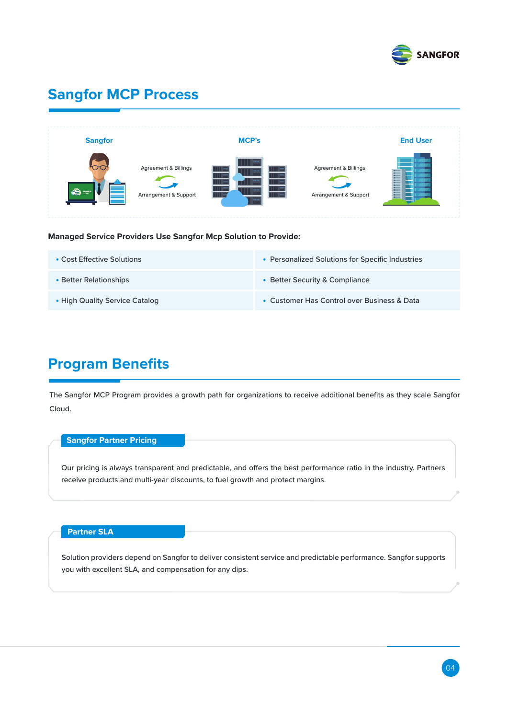

# **Sangfor MCP Process**

| <b>Sangfor</b>   |                                                          | <b>MCP's</b>     |                                                          | <b>End User</b> |
|------------------|----------------------------------------------------------|------------------|----------------------------------------------------------|-----------------|
| <b>ICO</b> and I | <b>Agreement &amp; Billings</b><br>Arrangement & Support | $$<br><br><br>$$ | <b>Agreement &amp; Billings</b><br>Arrangement & Support |                 |

**Managed Service Providers Use Sangfor Mcp Solution to Provide:**

| • Cost Effective Solutions     | • Personalized Solutions for Specific Industries |
|--------------------------------|--------------------------------------------------|
| • Better Relationships         | • Better Security & Compliance                   |
| • High Quality Service Catalog | • Customer Has Control over Business & Data      |

# **Program Benefits**

The Sangfor MCP Program provides a growth path for organizations to receive additional benefits as they scale Sangfor Cloud.

## **Sangfor Partner Pricing**

Our pricing is always transparent and predictable, and offers the best performance ratio in the industry. Partners receive products and multi-year discounts, to fuel growth and protect margins.

# **Partner SLA**

Solution providers depend on Sangfor to deliver consistent service and predictable performance. Sangfor supports you with excellent SLA, and compensation for any dips.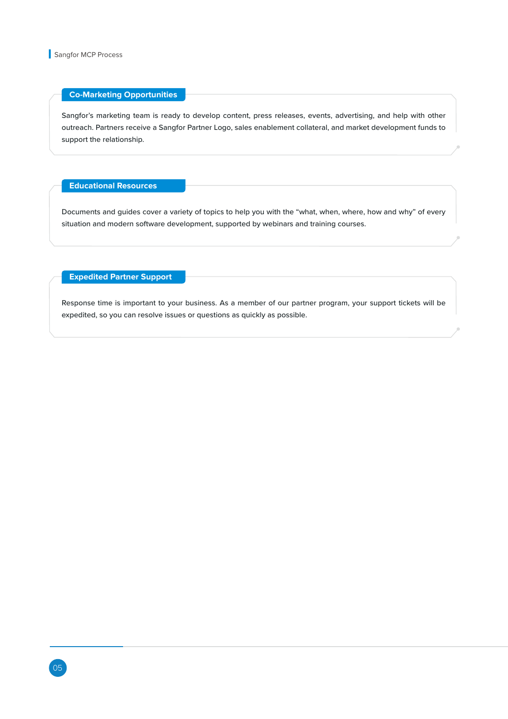### **Co-Marketing Opportunities**

Sangfor's marketing team is ready to develop content, press releases, events, advertising, and help with other outreach. Partners receive a Sangfor Partner Logo, sales enablement collateral, and market development funds to support the relationship.

**Educational Resources** 

Documents and guides cover a variety of topics to help you with the "what, when, where, how and why" of every situation and modern software development, supported by webinars and training courses.

**Expedited Partner Support** 

Response time is important to your business. As a member of our partner program, your support tickets will be expedited, so you can resolve issues or questions as quickly as possible.

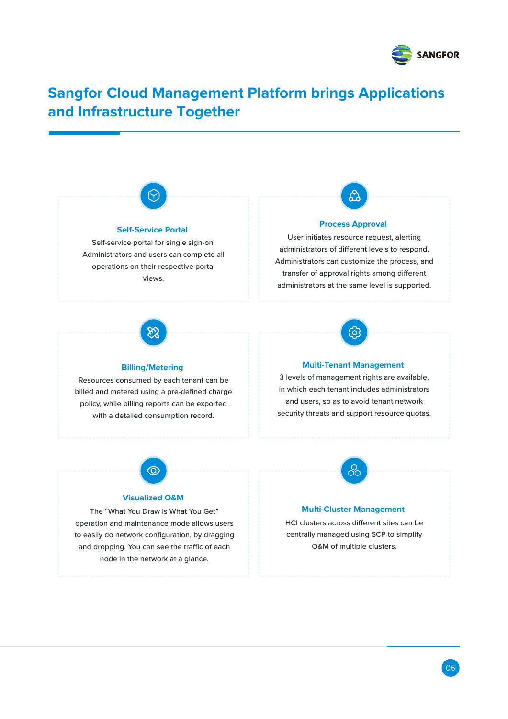

# **Sangfor Cloud Management Platform brings Applications and Infrastructure Together**

### **Self-Service Portal**

Self-service portal for single sign-on. Administrators and users can complete all operations on their respective portal views.

### **Process Approval**

User initiates resource request, alerting administrators of different levels to respond. Administrators can customize the process, and transfer of approval rights among different administrators at the same level is supported.



# **Billing/Metering**

Resources consumed by each tenant can be billed and metered using a pre-defined charge policy, while billing reports can be exported with a detailed consumption record.



### **Multi-Tenant Management**

3 levels of management rights are available, in which each tenant includes administrators and users, so as to avoid tenant network security threats and support resource quotas.



### **Visualized O&M**

The "What You Draw is What You Get" operation and maintenance mode allows users to easily do network configuration, by dragging and dropping. You can see the traffic of each node in the network at a glance.



## **Multi-Cluster Management**

HCI clusters across different sites can be centrally managed using SCP to simplify O&M of multiple clusters.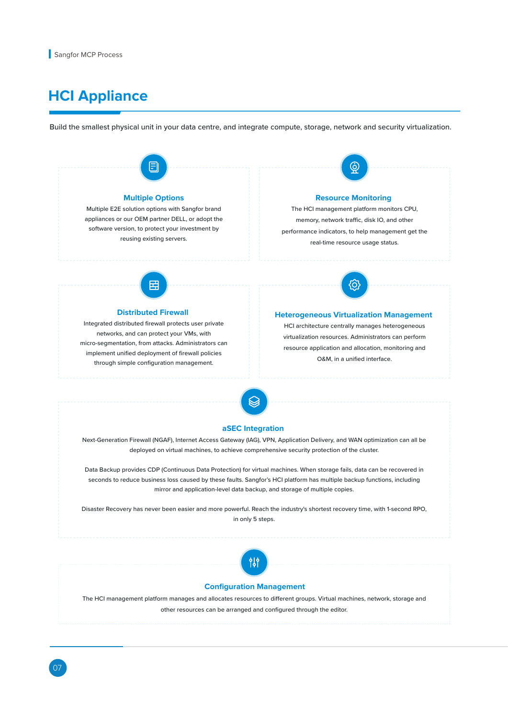# **HCI Appliance**

Build the smallest physical unit in your data centre, and integrate compute, storage, network and security virtualization.

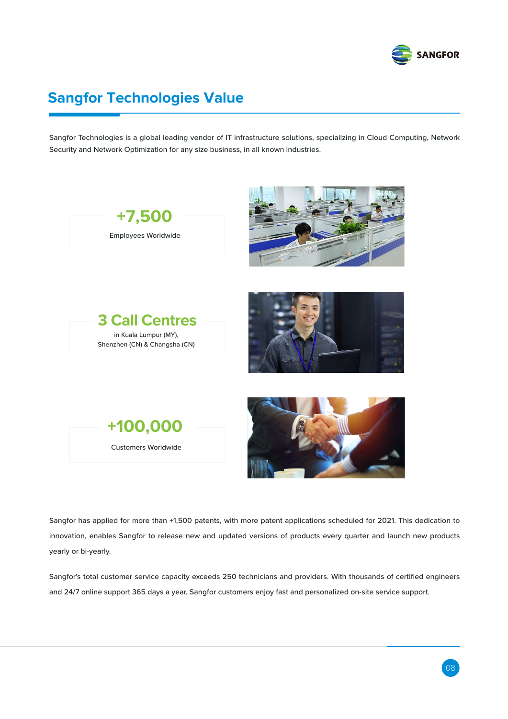

# **Sangfor Technologies Value**

Sangfor Technologies is a global leading vendor of IT infrastructure solutions, specializing in Cloud Computing, Network Security and Network Optimization for any size business, in all known industries.



Sangfor has applied for more than +1,500 patents, with more patent applications scheduled for 2021. This dedication to innovation, enables Sangfor to release new and updated versions of products every quarter and launch new products yearly or bi-yearly.

Sangfor's total customer service capacity exceeds 250 technicians and providers. With thousands of certified engineers and 24/7 online support 365 days a year, Sangfor customers enjoy fast and personalized on-site service support.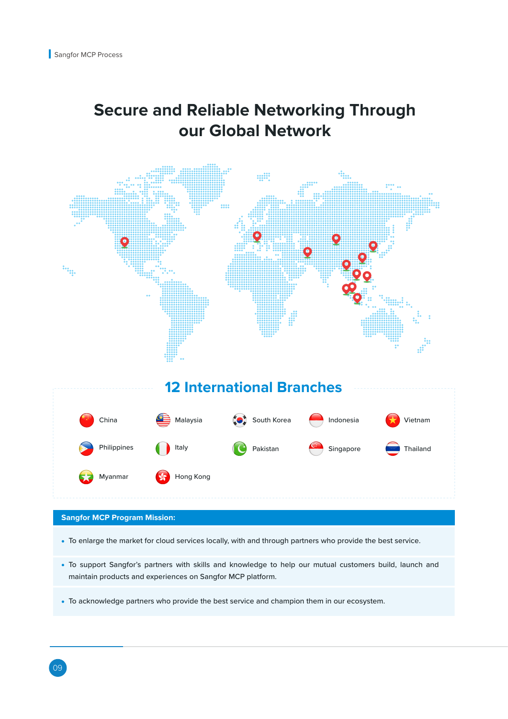# **Secure and Reliable Networking Through our Global Network**



## **Sangfor MCP Program Mission:**

- To enlarge the market for cloud services locally, with and through partners who provide the best service.
- To support Sangfor's partners with skills and knowledge to help our mutual customers build, launch and maintain products and experiences on Sangfor MCP platform.
- To acknowledge partners who provide the best service and champion them in our ecosystem.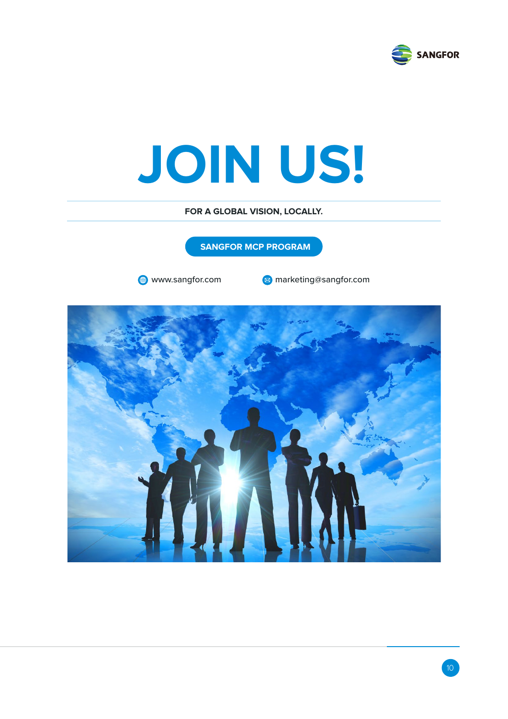

# **JOIN US!**

**FOR A GLOBAL VISION, LOCALLY.**

**SANGFOR MCP PROGRAM**

**a** www.sangfor.com **marketing@sangfor.com**